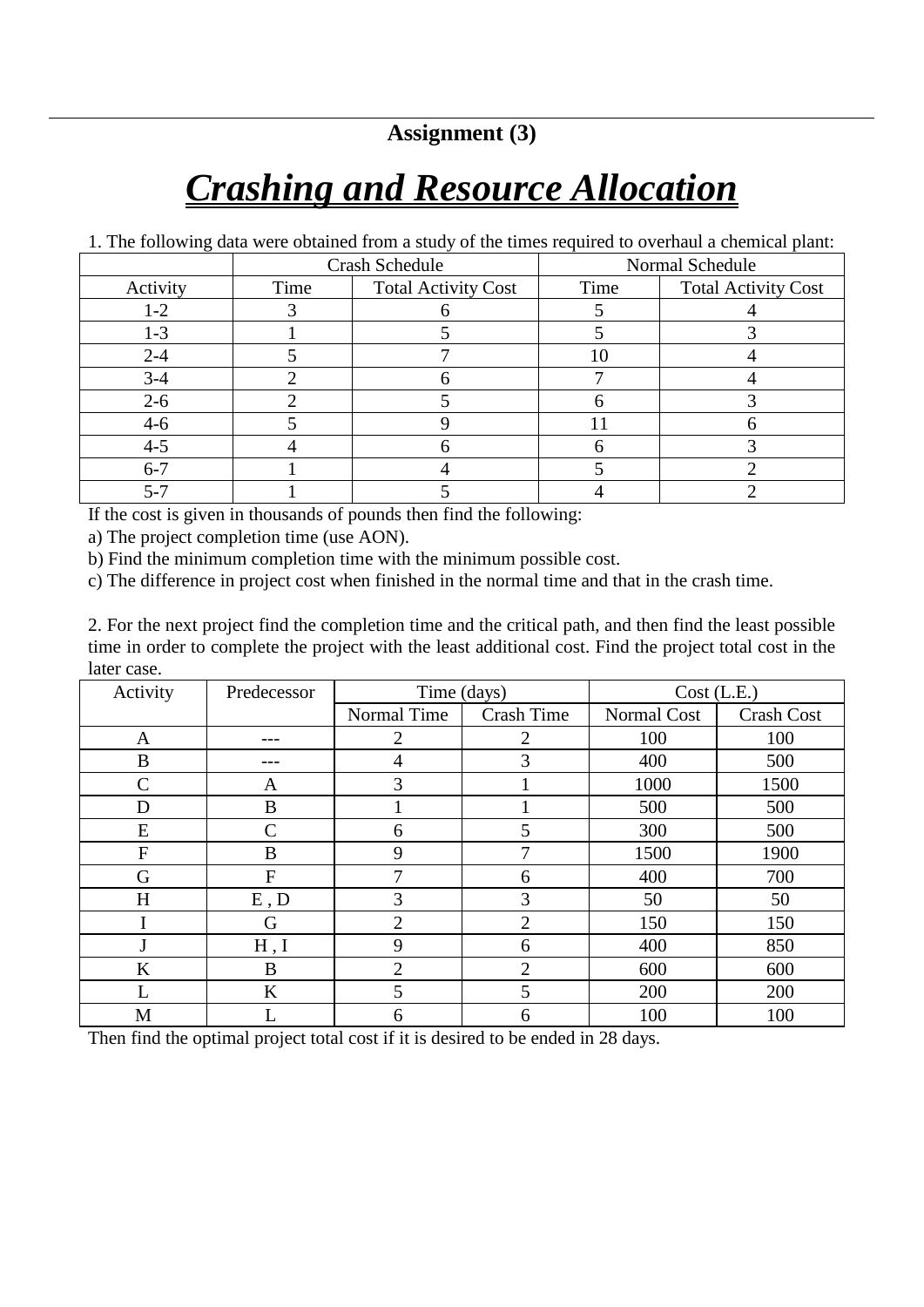**Assignment (3)**

## *Crashing and Resource Allocation*

1. The following data were obtained from a study of the times required to overhaul a chemical plant:

|          | Crash Schedule |                            | Normal Schedule |                            |
|----------|----------------|----------------------------|-----------------|----------------------------|
| Activity | Time           | <b>Total Activity Cost</b> | Time            | <b>Total Activity Cost</b> |
| $1 - 2$  |                |                            |                 |                            |
| $1 - 3$  |                |                            |                 |                            |
| $2 - 4$  |                |                            |                 |                            |
| $3-4$    |                |                            |                 |                            |
| $2 - 6$  |                |                            |                 |                            |
| $4-6$    |                |                            |                 |                            |
| $4 - 5$  |                |                            |                 |                            |
| $6 - 7$  |                |                            |                 |                            |
| 5-7      |                |                            |                 |                            |

If the cost is given in thousands of pounds then find the following:

a) The project completion time (use AON).

b) Find the minimum completion time with the minimum possible cost.

c) The difference in project cost when finished in the normal time and that in the crash time.

2. For the next project find the completion time and the critical path, and then find the least possible time in order to complete the project with the least additional cost. Find the project total cost in the later case.

| Activity      | Predecessor  | Time (days)    |                   | Cost (L.E.) |                   |
|---------------|--------------|----------------|-------------------|-------------|-------------------|
|               |              | Normal Time    | <b>Crash Time</b> | Normal Cost | <b>Crash Cost</b> |
| A             |              | $\overline{2}$ | $\overline{2}$    | 100         | 100               |
| B             |              | 4              | 3                 | 400         | 500               |
| $\mathcal{C}$ | A            | 3              |                   | 1000        | 1500              |
| D             | B            |                |                   | 500         | 500               |
| E             | C            | 6              | 5                 | 300         | 500               |
| $\mathbf F$   | B            | 9              |                   | 1500        | 1900              |
| G             | $\mathbf{F}$ | 7              | 6                 | 400         | 700               |
| H             | E, D         | 3              | 3                 | 50          | 50                |
|               | G            | 2              | $\overline{2}$    | 150         | 150               |
|               | H, I         | 9              | 6                 | 400         | 850               |
| K             | B            | 2              | 2                 | 600         | 600               |
| L             | K            | 5              | 5                 | 200         | 200               |
| M             |              | 6              | 6                 | 100         | 100               |

Then find the optimal project total cost if it is desired to be ended in 28 days.